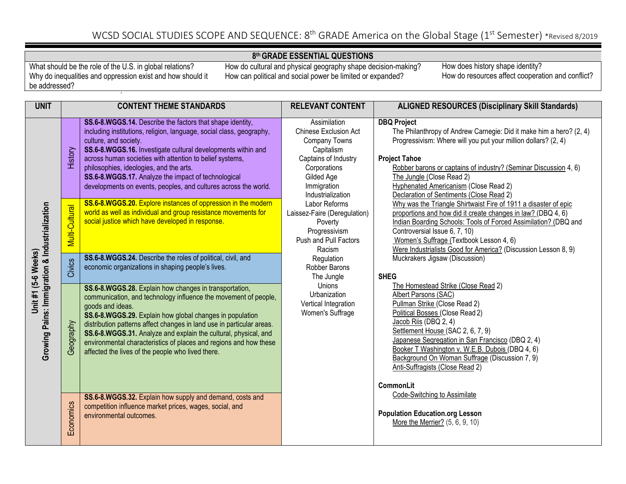#### **8th GRADE ESSENTIAL QUESTIONS**

What should be the role of the U.S. in global relations? Why do inequalities and oppression exist and how should it be addressed?

How do cultural and physical geography shape decision-making? How can political and social power be limited or expanded?

| <b>UNIT</b>                                                           | <b>CONTENT THEME STANDARDS</b> |                                                                                                                                                                                                                                                                                                                                                                                                                                                                                 | <b>RELEVANT CONTENT</b>                                                                                                                                                      | <b>ALIGNED RESOURCES (Disciplinary Skill Standards)</b>                                                                                                                                                                                                                                                                                                                                                       |
|-----------------------------------------------------------------------|--------------------------------|---------------------------------------------------------------------------------------------------------------------------------------------------------------------------------------------------------------------------------------------------------------------------------------------------------------------------------------------------------------------------------------------------------------------------------------------------------------------------------|------------------------------------------------------------------------------------------------------------------------------------------------------------------------------|---------------------------------------------------------------------------------------------------------------------------------------------------------------------------------------------------------------------------------------------------------------------------------------------------------------------------------------------------------------------------------------------------------------|
|                                                                       | History                        | SS.6-8.WGGS.14. Describe the factors that shape identity,<br>including institutions, religion, language, social class, geography,<br>culture, and society.<br>SS.6-8.WGGS.16. Investigate cultural developments within and<br>across human societies with attention to belief systems,<br>philosophies, ideologies, and the arts.<br>SS.6-8.WGGS.17. Analyze the impact of technological<br>developments on events, peoples, and cultures across the world.                     | Assimilation<br><b>Chinese Exclusion Act</b><br><b>Company Towns</b><br>Capitalism<br>Captains of Industry<br>Corporations<br>Gilded Age<br>Immigration<br>Industrialization | <b>DBQ Project</b><br>The Philanthropy of Andrew Carnegie: Did it make him a hero? (2, 4)<br>Progressivism: Where will you put your million dollars? (2, 4)<br><b>Project Tahoe</b><br>Robber barons or captains of industry? (Seminar Discussion 4, 6)<br>The Jungle (Close Read 2)<br>Hyphenated Americanism (Close Read 2)<br>Declaration of Sentiments (Close Read 2)                                     |
|                                                                       | Multi-Cultural                 | SS.6-8.WGGS.20. Explore instances of oppression in the modern<br>world as well as individual and group resistance movements for<br>social justice which have developed in response.                                                                                                                                                                                                                                                                                             | Labor Reforms<br>Laissez-Faire (Deregulation)<br>Poverty<br>Progressivism<br>Push and Pull Factors<br>Racism                                                                 | Why was the Triangle Shirtwaist Fire of 1911 a disaster of epic<br>proportions and how did it create changes in law? (DBQ 4, 6)<br>Indian Boarding Schools: Tools of Forced Assimilation? (DBQ and<br>Controversial Issue 6, 7, 10)<br>Women's Suffrage (Textbook Lesson 4, 6)<br>Were Industrialists Good for America? (Discussion Lesson 8, 9)                                                              |
|                                                                       | Civics                         | SS.6-8.WGGS.24. Describe the roles of political, civil, and<br>economic organizations in shaping people's lives.                                                                                                                                                                                                                                                                                                                                                                | Regulation<br>Robber Barons<br>The Jungle                                                                                                                                    | Muckrakers Jigsaw (Discussion)<br><b>SHEG</b>                                                                                                                                                                                                                                                                                                                                                                 |
| Growing Pains: Immigration & Industrialization<br>Unit #1 (5-6 Weeks) | Geography                      | SS.6-8.WGGS.28. Explain how changes in transportation,<br>communication, and technology influence the movement of people,<br>goods and ideas.<br>SS.6-8.WGGS.29. Explain how global changes in population<br>distribution patterns affect changes in land use in particular areas.<br>SS.6-8.WGGS.31. Analyze and explain the cultural, physical, and<br>environmental characteristics of places and regions and how these<br>affected the lives of the people who lived there. | Unions<br>Urbanization<br>Vertical Integration<br>Women's Suffrage                                                                                                           | The Homestead Strike (Close Read 2)<br>Albert Parsons (SAC)<br>Pullman Strike (Close Read 2)<br>Political Bosses (Close Read 2)<br>Jacob Riis (DBQ 2, 4)<br>Settlement House (SAC 2, 6, 7, 9)<br>Japanese Segregation in San Francisco (DBQ 2, 4)<br>Booker T Washington v. W.E.B. Dubois (DBQ 4, 6)<br>Background On Woman Suffrage (Discussion 7, 9)<br>Anti-Suffragists (Close Read 2)<br><b>CommonLit</b> |
|                                                                       | Economics                      | SS.6-8.WGGS.32. Explain how supply and demand, costs and<br>competition influence market prices, wages, social, and<br>environmental outcomes.                                                                                                                                                                                                                                                                                                                                  |                                                                                                                                                                              | Code-Switching to Assimilate<br><b>Population Education.org Lesson</b><br>More the Merrier? (5, 6, 9, 10)                                                                                                                                                                                                                                                                                                     |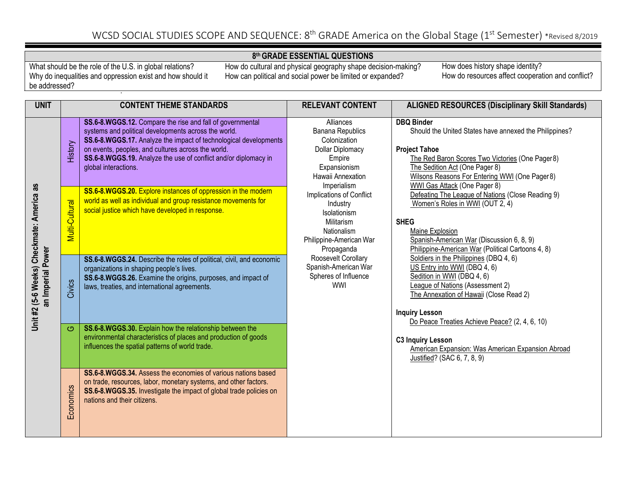#### **8th GRADE ESSENTIAL QUESTIONS**

What should be the role of the U.S. in global relations? Why do inequalities and oppression exist and how should it be addressed?

How do cultural and physical geography shape decision-making? How can political and social power be limited or expanded?

| <b>UNIT</b>                                                    |                     | <b>CONTENT THEME STANDARDS</b>                                                                                                                                                                                                                                                                                                         | <b>RELEVANT CONTENT</b>                                                                                                                | <b>ALIGNED RESOURCES (Disciplinary Skill Standards)</b>                                                                                                                                                                                                                    |
|----------------------------------------------------------------|---------------------|----------------------------------------------------------------------------------------------------------------------------------------------------------------------------------------------------------------------------------------------------------------------------------------------------------------------------------------|----------------------------------------------------------------------------------------------------------------------------------------|----------------------------------------------------------------------------------------------------------------------------------------------------------------------------------------------------------------------------------------------------------------------------|
|                                                                | History             | SS.6-8.WGGS.12. Compare the rise and fall of governmental<br>systems and political developments across the world.<br>SS.6-8.WGGS.17. Analyze the impact of technological developments<br>on events, peoples, and cultures across the world.<br>SS.6-8.WGGS.19. Analyze the use of conflict and/or diplomacy in<br>global interactions. | Alliances<br><b>Banana Republics</b><br>Colonization<br>Dollar Diplomacy<br>Empire<br>Expansionism<br>Hawaii Annexation<br>Imperialism | <b>DBQ Binder</b><br>Should the United States have annexed the Philippines?<br><b>Project Tahoe</b><br>The Red Baron Scores Two Victories (One Pager8)<br>The Sedition Act (One Pager 8)<br>Wilsons Reasons For Entering WWI (One Pager 8)<br>WWI Gas Attack (One Pager 8) |
|                                                                | Multi-Cultural      | SS.6-8.WGGS.20. Explore instances of oppression in the modern<br>world as well as individual and group resistance movements for<br>social justice which have developed in response.                                                                                                                                                    | Implications of Conflict<br>Industry<br>Isolationism<br>Militarism<br>Nationalism<br>Philippine-American War<br>Propaganda             | Defeating The League of Nations (Close Reading 9)<br>Women's Roles in WWI (OUT 2, 4)<br><b>SHEG</b><br>Maine Explosion<br>Spanish-American War (Discussion 6, 8, 9)<br>Philippine-American War (Political Cartoons 4, 8)                                                   |
| Unit #2 (5-6 Weeks) Checkmate: America as<br>an Imperial Power | Civics              | SS.6-8.WGGS.24. Describe the roles of political, civil, and economic<br>organizations in shaping people's lives.<br>SS.6-8.WGGS.26. Examine the origins, purposes, and impact of<br>laws, treaties, and international agreements.                                                                                                      | Roosevelt Corollary<br>Spanish-American War<br>Spheres of Influence<br><b>WWI</b>                                                      | Soldiers in the Philippines (DBQ 4, 6)<br>US Entry into WWI (DBQ 4, 6)<br>Sedition in WWI (DBQ 4, 6)<br><b>League of Nations (Assessment 2)</b><br>The Annexation of Hawaii (Close Read 2)<br><b>Inquiry Lesson</b>                                                        |
|                                                                | $\circlearrowright$ | SS.6-8.WGGS.30. Explain how the relationship between the<br>environmental characteristics of places and production of goods<br>influences the spatial patterns of world trade.                                                                                                                                                         |                                                                                                                                        | Do Peace Treaties Achieve Peace? (2, 4, 6, 10)<br><b>C3 Inquiry Lesson</b><br>American Expansion: Was American Expansion Abroad<br>Justified? (SAC 6, 7, 8, 9)                                                                                                             |
|                                                                | Economics           | SS.6-8.WGGS.34. Assess the economies of various nations based<br>on trade, resources, labor, monetary systems, and other factors.<br>SS.6-8.WGGS.35. Investigate the impact of global trade policies on<br>nations and their citizens.                                                                                                 |                                                                                                                                        |                                                                                                                                                                                                                                                                            |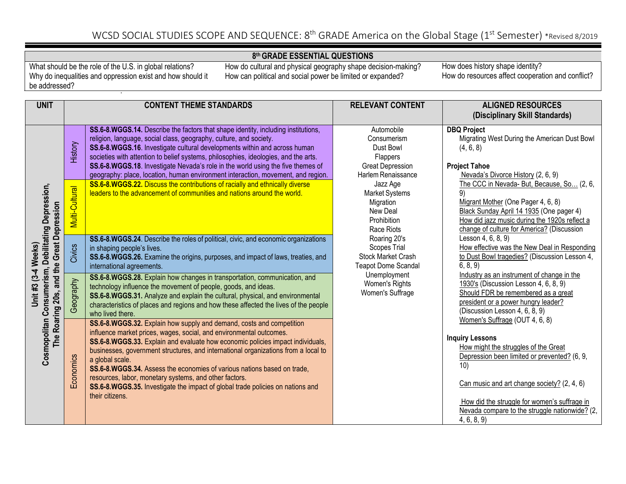#### **8th GRADE ESSENTIAL QUESTIONS**

What should be the role of the U.S. in global relations? Why do inequalities and oppression exist and how should it be addressed?

How do cultural and physical geography shape decision-making? How can political and social power be limited or expanded?

How does history shape identity? How do resources affect cooperation and conflict?

| <b>UNIT</b>                                                      | <b>CONTENT THEME STANDARDS</b> |                                                                                                                                                                                                                                                                                                                                                                                                                                                                                                                                                                                  | <b>RELEVANT CONTENT</b>                                                                             | <b>ALIGNED RESOURCES</b><br>(Disciplinary Skill Standards)                                                                                                                                                                                             |
|------------------------------------------------------------------|--------------------------------|----------------------------------------------------------------------------------------------------------------------------------------------------------------------------------------------------------------------------------------------------------------------------------------------------------------------------------------------------------------------------------------------------------------------------------------------------------------------------------------------------------------------------------------------------------------------------------|-----------------------------------------------------------------------------------------------------|--------------------------------------------------------------------------------------------------------------------------------------------------------------------------------------------------------------------------------------------------------|
|                                                                  | History                        | SS.6-8.WGGS.14. Describe the factors that shape identity, including institutions,<br>religion, language, social class, geography, culture, and society.<br>SS.6-8.WGGS.16. Investigate cultural developments within and across human<br>societies with attention to belief systems, philosophies, ideologies, and the arts.<br>SS.6-8.WGGS.18. Investigate Nevada's role in the world using the five themes of<br>geography: place, location, human environment interaction, movement, and region.                                                                               | Automobile<br>Consumerism<br>Dust Bowl<br>Flappers<br><b>Great Depression</b><br>Harlem Renaissance | <b>DBQ Project</b><br>Migrating West During the American Dust Bowl<br>(4, 6, 8)<br><b>Project Tahoe</b><br>Nevada's Divorce History (2, 6, 9)                                                                                                          |
| Consumerism, Debilitating Depression,                            | Multi-Cultural                 | SS.6-8.WGGS.22. Discuss the contributions of racially and ethnically diverse<br>leaders to the advancement of communities and nations around the world.                                                                                                                                                                                                                                                                                                                                                                                                                          | Jazz Age<br><b>Market Systems</b><br>Migration<br>New Deal<br>Prohibition<br>Race Riots             | The CCC in Nevada- But, Because, So (2, 6,<br>9)<br>Migrant Mother (One Pager 4, 6, 8)<br>Black Sunday April 14 1935 (One pager 4)<br>How did jazz music during the 1920s reflect a<br>change of culture for America? (Discussion                      |
|                                                                  | Civics                         | SS.6-8.WGGS.24. Describe the roles of political, civic, and economic organizations<br>in shaping people's lives.<br>SS.6-8.WGGS.26. Examine the origins, purposes, and impact of laws, treaties, and<br>international agreements.                                                                                                                                                                                                                                                                                                                                                | Roaring 20's<br><b>Scopes Trial</b><br><b>Stock Market Crash</b><br><b>Teapot Dome Scandal</b>      | Lesson 4, 6, 8, 9)<br>How effective was the New Deal in Responding<br>to Dust Bowl tragedies? (Discussion Lesson 4,<br>6, 8, 9                                                                                                                         |
| The Roaring 20s, and the Great Depression<br>Unit #3 (3-4 Weeks) | Geography                      | SS.6-8.WGGS.28. Explain how changes in transportation, communication, and<br>technology influence the movement of people, goods, and ideas.<br>SS.6-8.WGGS.31. Analyze and explain the cultural, physical, and environmental<br>characteristics of places and regions and how these affected the lives of the people<br>who lived there.                                                                                                                                                                                                                                         | Unemployment<br>Women's Rights<br>Women's Suffrage                                                  | Industry as an instrument of change in the<br>1930's (Discussion Lesson 4, 6, 8, 9)<br>Should FDR be remembered as a great<br>president or a power hungry leader?<br>(Discussion Lesson 4, 6, 8, 9)                                                    |
| Cosmopolitan                                                     | Economics                      | SS.6-8.WGGS.32. Explain how supply and demand, costs and competition<br>influence market prices, wages, social, and environmental outcomes.<br>SS.6-8.WGGS.33. Explain and evaluate how economic policies impact individuals,<br>businesses, government structures, and international organizations from a local to<br>a global scale.<br>SS.6-8.WGGS.34. Assess the economies of various nations based on trade,<br>resources, labor, monetary systems, and other factors.<br>SS.6-8.WGGS.35. Investigate the impact of global trade policies on nations and<br>their citizens. |                                                                                                     | Women's Suffrage (OUT 4, 6, 8)<br><b>Inquiry Lessons</b><br>How might the struggles of the Great<br>Depression been limited or prevented? (6, 9,<br>10)<br>Can music and art change society? (2, 4, 6)<br>How did the struggle for women's suffrage in |
|                                                                  |                                |                                                                                                                                                                                                                                                                                                                                                                                                                                                                                                                                                                                  |                                                                                                     | Nevada compare to the struggle nationwide? (2,<br>4, 6, 8, 9                                                                                                                                                                                           |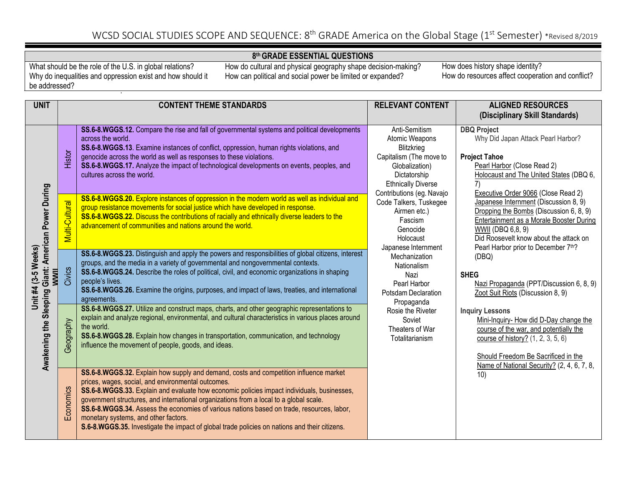#### **8th GRADE ESSENTIAL QUESTIONS**

What should be the role of the U.S. in global relations? Why do inequalities and oppression exist and how should it be addressed?

How do cultural and physical geography shape decision-making? How can political and social power be limited or expanded?

| <b>UNIT</b>                                                                                         |                | <b>CONTENT THEME STANDARDS</b>                                                                                                                                                                                                                                                                                                                                                                                                                                                                                                                                            | <b>RELEVANT CONTENT</b>                                                                                                                                                                                                                                                                          | <b>ALIGNED RESOURCES</b><br>(Disciplinary Skill Standards)                                                                                                                                                                                                                                                                                     |
|-----------------------------------------------------------------------------------------------------|----------------|---------------------------------------------------------------------------------------------------------------------------------------------------------------------------------------------------------------------------------------------------------------------------------------------------------------------------------------------------------------------------------------------------------------------------------------------------------------------------------------------------------------------------------------------------------------------------|--------------------------------------------------------------------------------------------------------------------------------------------------------------------------------------------------------------------------------------------------------------------------------------------------|------------------------------------------------------------------------------------------------------------------------------------------------------------------------------------------------------------------------------------------------------------------------------------------------------------------------------------------------|
| Giant: American Power During<br>$(3-5$ Weeks)<br><b>HINNIN</b><br>Unit #4<br>Awakening the Sleeping | Histor         | SS.6-8.WGGS.12. Compare the rise and fall of governmental systems and political developments<br>across the world.<br>SS.6-8.WGGS.13. Examine instances of conflict, oppression, human rights violations, and<br>genocide across the world as well as responses to these violations.<br>SS.6-8.WGGS.17. Analyze the impact of technological developments on events, peoples, and<br>cultures across the world.                                                                                                                                                             | Anti-Semitism<br>Atomic Weapons<br>Blitzkrieg<br>Capitalism (The move to<br>Globalization)<br>Dictatorship<br><b>Ethnically Diverse</b>                                                                                                                                                          | <b>DBQ Project</b><br>Why Did Japan Attack Pearl Harbor?<br><b>Project Tahoe</b><br>Pearl Harbor (Close Read 2)<br>Holocaust and The United States (DBQ 6,                                                                                                                                                                                     |
|                                                                                                     | Multi-Cultural | SS.6-8.WGGS.20. Explore instances of oppression in the modern world as well as individual and<br>group resistance movements for social justice which have developed in response.<br>SS.6-8.WGGS.22. Discuss the contributions of racially and ethnically diverse leaders to the<br>advancement of communities and nations around the world.                                                                                                                                                                                                                               | Contributions (eg. Navajo<br>Code Talkers, Tuskegee<br>Airmen etc.)<br>Fascism<br>Genocide<br>Holocaust<br>Japanese Internment<br>Mechanization<br>Nationalism<br>Nazi<br>Pearl Harbor<br>Potsdam Declaration<br>Propaganda<br>Rosie the Riveter<br>Soviet<br>Theaters of War<br>Totalitarianism | Executive Order 9066 (Close Read 2)<br>Japanese Internment (Discussion 8, 9)<br>Dropping the Bombs (Discussion 6, 8, 9)<br>Entertainment as a Morale Booster During<br><b>WWII</b> (DBQ 6,8, 9)<br>Did Roosevelt know about the attack on<br>Pearl Harbor prior to December 7th?                                                               |
|                                                                                                     | Civics         | SS.6-8.WGGS.23. Distinguish and apply the powers and responsibilities of global citizens, interest<br>groups, and the media in a variety of governmental and nongovernmental contexts.<br>SS.6-8.WGGS.24. Describe the roles of political, civil, and economic organizations in shaping<br>people's lives.<br>SS.6-8.WGGS.26. Examine the origins, purposes, and impact of laws, treaties, and international<br>agreements.                                                                                                                                               |                                                                                                                                                                                                                                                                                                  | (DBQ)<br><b>SHEG</b><br>Nazi Propaganda (PPT/Discussion 6, 8, 9)<br>Zoot Suit Riots (Discussion 8, 9)<br><b>Inquiry Lessons</b><br>Mini-Inquiry- How did D-Day change the<br>course of the war, and potentially the<br>course of history? (1, 2, 3, 5, 6)<br>Should Freedom Be Sacrificed in the<br>Name of National Security? (2, 4, 6, 7, 8, |
|                                                                                                     | Geography      | SS.6-8.WGGS.27. Utilize and construct maps, charts, and other geographic representations to<br>explain and analyze regional, environmental, and cultural characteristics in various places around<br>the world.<br>SS.6-8.WGGS.28. Explain how changes in transportation, communication, and technology<br>influence the movement of people, goods, and ideas.                                                                                                                                                                                                            |                                                                                                                                                                                                                                                                                                  |                                                                                                                                                                                                                                                                                                                                                |
|                                                                                                     | Economics      | SS.6-8.WGGS.32. Explain how supply and demand, costs and competition influence market<br>prices, wages, social, and environmental outcomes.<br>SS.6-8.WGGS.33. Explain and evaluate how economic policies impact individuals, businesses,<br>government structures, and international organizations from a local to a global scale.<br>SS.6-8.WGGS.34. Assess the economies of various nations based on trade, resources, labor,<br>monetary systems, and other factors.<br>S.6-8.WGGS.35. Investigate the impact of global trade policies on nations and their citizens. |                                                                                                                                                                                                                                                                                                  | 10)                                                                                                                                                                                                                                                                                                                                            |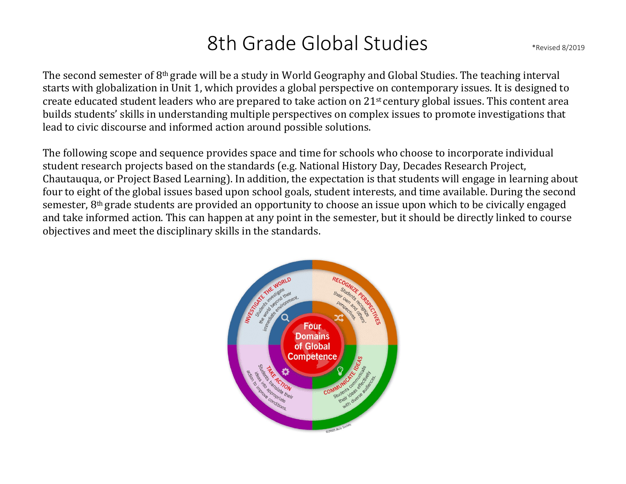# 8th Grade Global Studies \*Revised 8/2019

The second semester of 8th grade will be a study in World Geography and Global Studies. The teaching interval starts with globalization in Unit 1, which provides a global perspective on contemporary issues. It is designed to create educated student leaders who are prepared to take action on 21st century global issues. This content area builds students' skills in understanding multiple perspectives on complex issues to promote investigations that lead to civic discourse and informed action around possible solutions.

The following scope and sequence provides space and time for schools who choose to incorporate individual student research projects based on the standards (e.g. National History Day, Decades Research Project, Chautauqua, or Project Based Learning). In addition, the expectation is that students will engage in learning about four to eight of the global issues based upon school goals, student interests, and time available. During the second semester, 8<sup>th</sup> grade students are provided an opportunity to choose an issue upon which to be civically engaged and take informed action. This can happen at any point in the semester, but it should be directly linked to course objectives and meet the disciplinary skills in the standards.

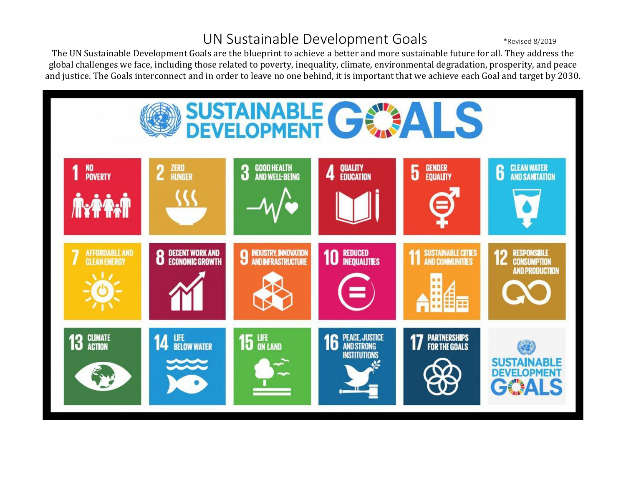## UN Sustainable Development Goals \*Revised 8/2019

The UN Sustainable Development Goals are the blueprint to achieve a better and more sustainable future for all. They address the global challenges we face, including those related to poverty, inequality, climate, environmental degradation, prosperity, and peace and justice. The Goals interconnect and in order to leave no one behind, it is important that we achieve each Goal and target by 2030.

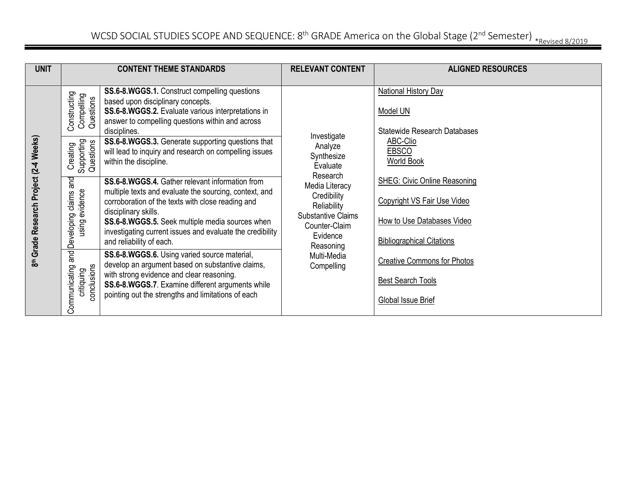| <b>UNIT</b>                            |                                                   | <b>CONTENT THEME STANDARDS</b>                                                                                                                                                                                                                                                                                                     | <b>RELEVANT CONTENT</b>                                                                                                         | <b>ALIGNED RESOURCES</b>                                                                                                             |
|----------------------------------------|---------------------------------------------------|------------------------------------------------------------------------------------------------------------------------------------------------------------------------------------------------------------------------------------------------------------------------------------------------------------------------------------|---------------------------------------------------------------------------------------------------------------------------------|--------------------------------------------------------------------------------------------------------------------------------------|
|                                        |                                                   |                                                                                                                                                                                                                                                                                                                                    |                                                                                                                                 |                                                                                                                                      |
|                                        | Constructing<br>Compelling<br>Questions           | SS.6-8.WGGS.1. Construct compelling questions<br>based upon disciplinary concepts.<br>SS.6-8.WGGS.2. Evaluate various interpretations in<br>answer to compelling questions within and across<br>disciplines.                                                                                                                       | Investigate                                                                                                                     | <b>National History Day</b><br>Model UN<br><b>Statewide Research Databases</b>                                                       |
|                                        | Supporting<br>Questions<br>Creating               | SS.6-8.WGGS.3. Generate supporting questions that<br>will lead to inquiry and research on compelling issues<br>within the discipline.                                                                                                                                                                                              | Analyze<br>Synthesize<br>Evaluate                                                                                               | ABC-Clio<br><b>EBSCO</b><br><b>World Book</b>                                                                                        |
| 8th Grade Research Project (2-4 Weeks) | and<br>using evidence<br>Developing claims        | SS.6-8.WGGS.4. Gather relevant information from<br>multiple texts and evaluate the sourcing, context, and<br>corroboration of the texts with close reading and<br>disciplinary skills.<br>SS.6-8.WGGS.5. Seek multiple media sources when<br>investigating current issues and evaluate the credibility<br>and reliability of each. | Research<br>Media Literacy<br>Credibility<br>Reliability<br><b>Substantive Claims</b><br>Counter-Claim<br>Evidence<br>Reasoning | <b>SHEG: Civic Online Reasoning</b><br>Copyright VS Fair Use Video<br>How to Use Databases Video<br><b>Bibliographical Citations</b> |
|                                        | and<br>conclusions<br>Communicating<br>critiquing | SS.6-8.WGGS.6. Using varied source material,<br>develop an argument based on substantive claims,<br>with strong evidence and clear reasoning.<br>SS.6-8.WGGS.7. Examine different arguments while<br>pointing out the strengths and limitations of each                                                                            | Multi-Media<br>Compelling                                                                                                       | <b>Creative Commons for Photos</b><br><b>Best Search Tools</b><br>Global Issue Brief                                                 |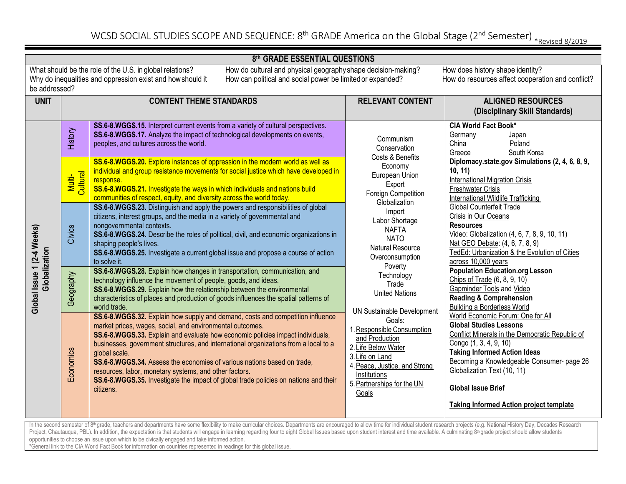#### **8th GRADE ESSENTIAL QUESTIONS**

be addressed?

What should be the role of the U.S. in global relations? How do cultural and physical geography shape decision-making? How does history shape identity? Why do inequalities and oppression exist and howshould it How can political and social power be limited or expanded? How do resources affect cooperation and conflict?

| <b>UNIT</b>                                 | <b>CONTENT THEME STANDARDS</b>                                                                                                                                                                                                                                                                                                                                                                                                                                                                                                                                                                                                                                                                                |                                                                                                                                                                                                                                                                                                                                                                                                                                                                                                                                                                                  | <b>RELEVANT CONTENT</b>                                                                                                                                                                                                                                                           | <b>ALIGNED RESOURCES</b>                                                                                                                                                                                                                                                                                                                                                                                                                                                                                                              |  |  |
|---------------------------------------------|---------------------------------------------------------------------------------------------------------------------------------------------------------------------------------------------------------------------------------------------------------------------------------------------------------------------------------------------------------------------------------------------------------------------------------------------------------------------------------------------------------------------------------------------------------------------------------------------------------------------------------------------------------------------------------------------------------------|----------------------------------------------------------------------------------------------------------------------------------------------------------------------------------------------------------------------------------------------------------------------------------------------------------------------------------------------------------------------------------------------------------------------------------------------------------------------------------------------------------------------------------------------------------------------------------|-----------------------------------------------------------------------------------------------------------------------------------------------------------------------------------------------------------------------------------------------------------------------------------|---------------------------------------------------------------------------------------------------------------------------------------------------------------------------------------------------------------------------------------------------------------------------------------------------------------------------------------------------------------------------------------------------------------------------------------------------------------------------------------------------------------------------------------|--|--|
|                                             |                                                                                                                                                                                                                                                                                                                                                                                                                                                                                                                                                                                                                                                                                                               |                                                                                                                                                                                                                                                                                                                                                                                                                                                                                                                                                                                  |                                                                                                                                                                                                                                                                                   | (Disciplinary Skill Standards)                                                                                                                                                                                                                                                                                                                                                                                                                                                                                                        |  |  |
|                                             | History                                                                                                                                                                                                                                                                                                                                                                                                                                                                                                                                                                                                                                                                                                       | SS.6-8.WGGS.15. Interpret current events from a variety of cultural perspectives.<br>SS.6-8.WGGS.17. Analyze the impact of technological developments on events,<br>peoples, and cultures across the world.                                                                                                                                                                                                                                                                                                                                                                      | Communism<br>Conservation<br>Costs & Benefits                                                                                                                                                                                                                                     | <b>CIA World Fact Book*</b><br>Germany<br>Japan<br>China<br>Poland<br>Greece<br>South Korea                                                                                                                                                                                                                                                                                                                                                                                                                                           |  |  |
|                                             | Cultural<br>Multi-                                                                                                                                                                                                                                                                                                                                                                                                                                                                                                                                                                                                                                                                                            | SS.6-8.WGGS.20. Explore instances of oppression in the modern world as well as<br>individual and group resistance movements for social justice which have developed in<br>response.<br>SS.6-8.WGGS.21. Investigate the ways in which individuals and nations build<br>communities of respect, equity, and diversity across the world today.                                                                                                                                                                                                                                      | Economy<br>European Union<br>Export<br>Foreign Competition<br>Globalization                                                                                                                                                                                                       | Diplomacy.state.gov Simulations (2, 4, 6, 8, 9,<br>10, 11<br><b>International Migration Crisis</b><br><b>Freshwater Crisis</b><br>International Wildlife Trafficking                                                                                                                                                                                                                                                                                                                                                                  |  |  |
|                                             | Civics                                                                                                                                                                                                                                                                                                                                                                                                                                                                                                                                                                                                                                                                                                        | SS.6-8.WGGS.23. Distinguish and apply the powers and responsibilities of global<br>citizens, interest groups, and the media in a variety of governmental and<br>nongovernmental contexts.<br>SS.6-8.WGGS.24. Describe the roles of political, civil, and economic organizations in<br>shaping people's lives.<br>SS.6-8.WGGS.25. Investigate a current global issue and propose a course of action<br>to solve it.                                                                                                                                                               | Import<br>Labor Shortage<br><b>NAFTA</b><br><b>NATO</b><br>Natural Resource<br>Overconsumption                                                                                                                                                                                    | Global Counterfeit Trade<br>Crisis in Our Oceans<br><b>Resources</b><br>Video: Globalization (4, 6, 7, 8, 9, 10, 11)<br>Nat GEO Debate: (4, 6, 7, 8, 9)<br>TedEd: Urbanization & the Evolution of Cities<br>across 10,000 years                                                                                                                                                                                                                                                                                                       |  |  |
| Global Issue 1 (2-4 Weeks)<br>Globalization | Geography                                                                                                                                                                                                                                                                                                                                                                                                                                                                                                                                                                                                                                                                                                     | SS.6-8.WGGS.28. Explain how changes in transportation, communication, and<br>technology influence the movement of people, goods, and ideas.<br>SS.6-8.WGGS.29. Explain how the relationship between the environmental<br>characteristics of places and production of goods influences the spatial patterns of<br>world trade.                                                                                                                                                                                                                                                    | Poverty<br>Technology<br>Trade<br><b>United Nations</b><br>UN Sustainable Development<br>Goals:<br>1. Responsible Consumption<br>and Production<br>2. Life Below Water<br>3. Life on Land<br>4. Peace, Justice, and Strong<br>Institutions<br>5. Partnerships for the UN<br>Goals | <b>Population Education.org Lesson</b><br>Chips of Trade (6, 8, 9, 10)<br>Gapminder Tools and Video<br><b>Reading &amp; Comprehension</b><br><b>Building a Borderless World</b><br>World Economic Forum: One for All<br><b>Global Studies Lessons</b><br>Conflict Minerals in the Democratic Republic of<br>Congo (1, 3, 4, 9, 10)<br><b>Taking Informed Action Ideas</b><br>Becoming a Knowledgeable Consumer- page 26<br>Globalization Text (10, 11)<br><b>Global Issue Brief</b><br><b>Taking Informed Action project template</b> |  |  |
|                                             | Economics                                                                                                                                                                                                                                                                                                                                                                                                                                                                                                                                                                                                                                                                                                     | SS.6-8.WGGS.32. Explain how supply and demand, costs and competition influence<br>market prices, wages, social, and environmental outcomes.<br>SS.6-8.WGGS.33. Explain and evaluate how economic policies impact individuals,<br>businesses, government structures, and international organizations from a local to a<br>global scale.<br>SS.6-8.WGGS.34. Assess the economies of various nations based on trade,<br>resources, labor, monetary systems, and other factors.<br>SS.6-8.WGGS.35. Investigate the impact of global trade policies on nations and their<br>citizens. |                                                                                                                                                                                                                                                                                   |                                                                                                                                                                                                                                                                                                                                                                                                                                                                                                                                       |  |  |
|                                             | In the second semester of 8 <sup>th</sup> grade, teachers and departments have some flexibility to make curricular choices. Departments are encouraged to allow time for individual student research projects (e.g. National History Day<br>Project, Chautauqua, PBL). In addition, the expectation is that students will engage in learning regarding four to eight Global Issues based upon student interest and time available. A culminating 8 <sup>th</sup> grade project shoul<br>opportunities to choose an issue upon which to be civically engaged and take informed action.<br>*General link to the CIA World Fact Book for information on countries represented in readings for this global issue. |                                                                                                                                                                                                                                                                                                                                                                                                                                                                                                                                                                                  |                                                                                                                                                                                                                                                                                   |                                                                                                                                                                                                                                                                                                                                                                                                                                                                                                                                       |  |  |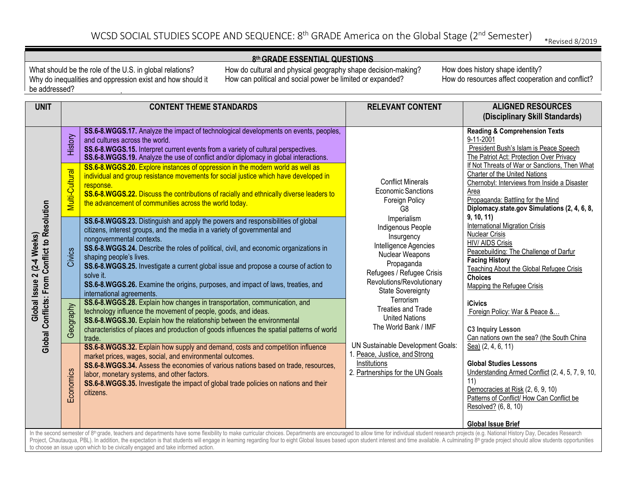## WCSD SOCIAL STUDIES SCOPE AND SEQUENCE:  $8^{th}$  GRADE America on the Global Stage ( $2^{nd}$  Semester)  $*_{Revised\ 8/2019}$

#### **8th GRADE ESSENTIAL QUESTIONS**

What should be the role of the U.S. in global relations? Why do inequalities and oppression exist and how should it be addressed?

How do cultural and physical geography shape decision-making? How can political and social power be limited or expanded?

| <b>UNIT</b>                                                  |                | <b>CONTENT THEME STANDARDS</b>                                                                                                                                                                                                                                                                                                                                                                                                                                                                                                                                          | <b>RELEVANT CONTENT</b>                                                                                                                                                                        | <b>ALIGNED RESOURCES</b><br>(Disciplinary Skill Standards)                                                                                                                                                                                                            |
|--------------------------------------------------------------|----------------|-------------------------------------------------------------------------------------------------------------------------------------------------------------------------------------------------------------------------------------------------------------------------------------------------------------------------------------------------------------------------------------------------------------------------------------------------------------------------------------------------------------------------------------------------------------------------|------------------------------------------------------------------------------------------------------------------------------------------------------------------------------------------------|-----------------------------------------------------------------------------------------------------------------------------------------------------------------------------------------------------------------------------------------------------------------------|
|                                                              | History        | SS.6-8.WGGS.17. Analyze the impact of technological developments on events, peoples,<br>and cultures across the world.<br>SS.6-8.WGGS.15. Interpret current events from a variety of cultural perspectives.<br>SS.6-8.WGGS.19. Analyze the use of conflict and/or diplomacy in global interactions.                                                                                                                                                                                                                                                                     |                                                                                                                                                                                                | <b>Reading &amp; Comprehension Texts</b><br>9-11-2001<br>President Bush's Islam is Peace Speech<br>The Patriot Act: Protection Over Privacy<br>If Not Threats of War or Sanctions, Then What                                                                          |
|                                                              | Multi-Cultural | SS.6-8.WGGS.20. Explore instances of oppression in the modern world as well as<br>individual and group resistance movements for social justice which have developed in<br>response.<br>SS.6-8.WGGS.22. Discuss the contributions of racially and ethnically diverse leaders to<br>the advancement of communities across the world today.                                                                                                                                                                                                                                | <b>Conflict Minerals</b><br>Economic Sanctions<br>Foreign Policy<br>G <sub>8</sub>                                                                                                             | Charter of the United Nations<br>Chernobyl: Interviews from Inside a Disaster<br>Area<br>Propaganda: Battling for the Mind<br>Diplomacy.state.gov Simulations (2, 4, 6, 8,                                                                                            |
| Global Conflicts: From Conflict to Resolution<br>(2-4 Weeks) | Civics         | SS.6-8.WGGS.23. Distinguish and apply the powers and responsibilities of global<br>citizens, interest groups, and the media in a variety of governmental and<br>nongovernmental contexts.<br>SS.6-8.WGGS.24. Describe the roles of political, civil, and economic organizations in<br>shaping people's lives.<br>SS.6-8.WGGS.25. Investigate a current global issue and propose a course of action to<br>solve it.<br>SS.6-8.WGGS.26. Examine the origins, purposes, and impact of laws, treaties, and<br>international agreements.                                     | Imperialism<br>Indigenous People<br>Insurgency<br>Intelligence Agencies<br>Nuclear Weapons<br>Propaganda<br>Refugees / Refugee Crisis<br>Revolutions/Revolutionary<br><b>State Sovereignty</b> | 9, 10, 11<br><b>International Migration Crisis</b><br>Nuclear Crisis<br><b>HIV/ AIDS Crisis</b><br>Peacebuilding: The Challenge of Darfur<br><b>Facing History</b><br><b>Teaching About the Global Refugee Crisis</b><br><b>Choices</b><br>Mapping the Refugee Crisis |
| Global Issue 2                                               | Geography      | SS.6-8.WGGS.28. Explain how changes in transportation, communication, and<br>technology influence the movement of people, goods, and ideas.<br>SS.6-8.WGGS.30. Explain how the relationship between the environmental<br>characteristics of places and production of goods influences the spatial patterns of world<br>trade.                                                                                                                                                                                                                                           | Terrorism<br><b>Treaties and Trade</b><br><b>United Nations</b><br>The World Bank / IMF                                                                                                        | <b>iCivics</b><br>Foreign Policy: War & Peace &<br><b>C3 Inquiry Lesson</b><br>Can nations own the sea? (the South China                                                                                                                                              |
|                                                              | Economics      | SS.6-8.WGGS.32. Explain how supply and demand, costs and competition influence<br>market prices, wages, social, and environmental outcomes.<br>SS.6-8.WGGS.34. Assess the economies of various nations based on trade, resources,<br>labor, monetary systems, and other factors.<br>SS.6-8.WGGS.35. Investigate the impact of global trade policies on nations and their<br>citizens.                                                                                                                                                                                   | UN Sustainable Development Goals:<br>1. Peace, Justice, and Strong<br>Institutions<br>2. Partnerships for the UN Goals                                                                         | Sea) (2, 4, 6, 11)<br><b>Global Studies Lessons</b><br>Understanding Armed Conflict (2, 4, 5, 7, 9, 10,<br>11)<br>Democracies at Risk (2, 6, 9, 10)<br>Patterns of Conflict/ How Can Conflict be<br>Resolved? (6, 8, 10)<br><b>Global Issue Brief</b>                 |
|                                                              |                | In the second semester of 8 <sup>th</sup> grade, teachers and departments have some flexibility to make curricular choices. Departments are encouraged to allow time for individual student research projects (e.g. National History Day<br>Project, Chautauqua, PBL). In addition, the expectation is that students will engage in learning regarding four to eight Global Issues based upon student interest and time available. A culminating 8 <sup>th</sup> grade project shoul<br>to choose an issue upon which to be civically engaged and take informed action. |                                                                                                                                                                                                |                                                                                                                                                                                                                                                                       |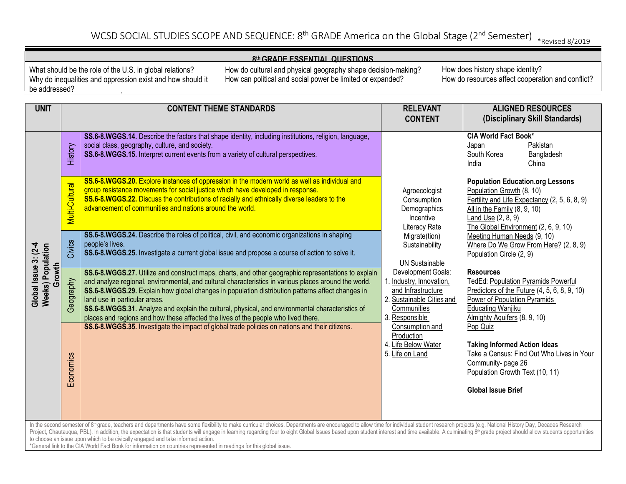#### **8th GRADE ESSENTIAL QUESTIONS**

What should be the role of the U.S. in global relations? Why do inequalities and oppression exist and how should it be addressed?

How do cultural and physical geography shape decision-making? How can political and social power be limited or expanded?

| <b>UNIT</b>                                                                                                                                                                                                                                                                                                                                                                                                                                                                                                                                                                                                                                                                                     |                        | <b>CONTENT THEME STANDARDS</b>                                                                                                                                                                                                                                                                                                                                                                                                                                                                                                              | <b>RELEVANT</b><br><b>CONTENT</b>                                                                                                                                                                             | <b>ALIGNED RESOURCES</b><br>(Disciplinary Skill Standards)                                                                                                                                                            |  |
|-------------------------------------------------------------------------------------------------------------------------------------------------------------------------------------------------------------------------------------------------------------------------------------------------------------------------------------------------------------------------------------------------------------------------------------------------------------------------------------------------------------------------------------------------------------------------------------------------------------------------------------------------------------------------------------------------|------------------------|---------------------------------------------------------------------------------------------------------------------------------------------------------------------------------------------------------------------------------------------------------------------------------------------------------------------------------------------------------------------------------------------------------------------------------------------------------------------------------------------------------------------------------------------|---------------------------------------------------------------------------------------------------------------------------------------------------------------------------------------------------------------|-----------------------------------------------------------------------------------------------------------------------------------------------------------------------------------------------------------------------|--|
|                                                                                                                                                                                                                                                                                                                                                                                                                                                                                                                                                                                                                                                                                                 | History                | SS.6-8.WGGS.14. Describe the factors that shape identity, including institutions, religion, language,<br>social class, geography, culture, and society.<br>SS.6-8.WGGS.15. Interpret current events from a variety of cultural perspectives.                                                                                                                                                                                                                                                                                                |                                                                                                                                                                                                               | <b>CIA World Fact Book*</b><br>Japan<br>Pakistan<br>South Korea<br>Bangladesh<br>China<br>India                                                                                                                       |  |
|                                                                                                                                                                                                                                                                                                                                                                                                                                                                                                                                                                                                                                                                                                 | Multi-Cultural         | SS.6-8.WGGS.20. Explore instances of oppression in the modern world as well as individual and<br>group resistance movements for social justice which have developed in response.<br>SS.6-8.WGGS.22. Discuss the contributions of racially and ethnically diverse leaders to the<br>advancement of communities and nations around the world.                                                                                                                                                                                                 | Agroecologist<br>Consumption<br>Demographics<br>Incentive<br><b>Literacy Rate</b>                                                                                                                             | <b>Population Education.org Lessons</b><br>Population Growth (8, 10)<br>Fertility and Life Expectancy (2, 5, 6, 8, 9)<br>All in the Family (8, 9, 10)<br>Land Use $(2, 8, 9)$<br>The Global Environment (2, 6, 9, 10) |  |
| $\overline{c}$ -4                                                                                                                                                                                                                                                                                                                                                                                                                                                                                                                                                                                                                                                                               | Civics                 | SS.6-8.WGGS.24. Describe the roles of political, civil, and economic organizations in shaping<br>people's lives.<br>SS.6-8.WGGS.25. Investigate a current global issue and propose a course of action to solve it.                                                                                                                                                                                                                                                                                                                          | Migrate(tion)<br>Sustainability<br><b>UN Sustainable</b>                                                                                                                                                      | Meeting Human Needs (9, 10)<br>Where Do We Grow From Here? (2, 8, 9)<br>Population Circle (2, 9)                                                                                                                      |  |
| <b>Weeks) Population</b><br>Global Issue 3:<br>Growth                                                                                                                                                                                                                                                                                                                                                                                                                                                                                                                                                                                                                                           | Ceography<br>Economics | SS.6-8.WGGS.27. Utilize and construct maps, charts, and other geographic representations to explain<br>and analyze regional, environmental, and cultural characteristics in various places around the world.<br>SS.6-8.WGGS.29. Explain how global changes in population distribution patterns affect changes in<br>land use in particular areas.<br>SS.6-8.WGGS.31. Analyze and explain the cultural, physical, and environmental characteristics of<br>places and regions and how these affected the lives of the people who lived there. | Development Goals:<br>1. Industry, Innovation,<br>and Infrastructure<br>2. Sustainable Cities and<br>Communities<br>3. Responsible<br>Consumption and<br>Production<br>4. Life Below Water<br>5. Life on Land | <b>Resources</b><br><b>TedEd: Population Pyramids Powerful</b><br>Predictors of the Future (4, 5, 6, 8, 9, 10)<br>Power of Population Pyramids<br><b>Educating Wanjiku</b><br>Almighty Aquifers (8, 9, 10)            |  |
|                                                                                                                                                                                                                                                                                                                                                                                                                                                                                                                                                                                                                                                                                                 |                        | SS.6-8.WGGS.35. Investigate the impact of global trade policies on nations and their citizens.                                                                                                                                                                                                                                                                                                                                                                                                                                              |                                                                                                                                                                                                               | Pop Quiz<br><b>Taking Informed Action Ideas</b><br>Take a Census: Find Out Who Lives in Your<br>Community-page 26<br>Population Growth Text (10, 11)<br><b>Global Issue Brief</b>                                     |  |
| In the second semester of 8 <sup>th</sup> grade, teachers and departments have some flexibility to make curricular choices. Departments are encouraged to allow time for individual student research projects (e.g. National History Day<br>Project, Chautauqua, PBL). In addition, the expectation is that students will engage in learning regarding four to eight Global Issues based upon student interest and time available. A culminating 8 <sup>th</sup> grade project shoul<br>to choose an issue upon which to be civically engaged and take informed action.<br>*General link to the CIA World Fact Book for information on countries represented in readings for this global issue. |                        |                                                                                                                                                                                                                                                                                                                                                                                                                                                                                                                                             |                                                                                                                                                                                                               |                                                                                                                                                                                                                       |  |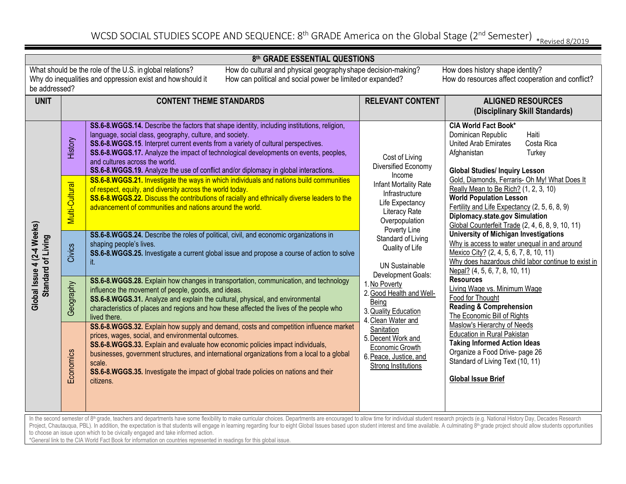#### **8th GRADE ESSENTIAL QUESTIONS**

be addressed?

What should be the role of the U.S. in global relations? How do cultural and physical geography shape decision-making? How does history shape identity? Why do inequalities and oppression exist and howshould it How can political and social power be limited or expanded? How do resources affect cooperation and conflict?

İ

| <b>UNIT</b>                                                                                                                                                                                                                                                                                                                                                                                                                                                                                                                                                                                                                                                                                     | <b>CONTENT THEME STANDARDS</b> |                                                                                                                                                                                                                                                                                                                                                                                                                                                                | <b>RELEVANT CONTENT</b>                                                                                                                                                                                                                                                                                                                                                                                                                                                     | <b>ALIGNED RESOURCES</b>                                                                                                                                                                                                                                                                                                                                                      |
|-------------------------------------------------------------------------------------------------------------------------------------------------------------------------------------------------------------------------------------------------------------------------------------------------------------------------------------------------------------------------------------------------------------------------------------------------------------------------------------------------------------------------------------------------------------------------------------------------------------------------------------------------------------------------------------------------|--------------------------------|----------------------------------------------------------------------------------------------------------------------------------------------------------------------------------------------------------------------------------------------------------------------------------------------------------------------------------------------------------------------------------------------------------------------------------------------------------------|-----------------------------------------------------------------------------------------------------------------------------------------------------------------------------------------------------------------------------------------------------------------------------------------------------------------------------------------------------------------------------------------------------------------------------------------------------------------------------|-------------------------------------------------------------------------------------------------------------------------------------------------------------------------------------------------------------------------------------------------------------------------------------------------------------------------------------------------------------------------------|
|                                                                                                                                                                                                                                                                                                                                                                                                                                                                                                                                                                                                                                                                                                 |                                |                                                                                                                                                                                                                                                                                                                                                                                                                                                                |                                                                                                                                                                                                                                                                                                                                                                                                                                                                             | (Disciplinary Skill Standards)                                                                                                                                                                                                                                                                                                                                                |
| Global Issue 4 (2-4 Weeks)<br>Standard of Living                                                                                                                                                                                                                                                                                                                                                                                                                                                                                                                                                                                                                                                | History                        | SS.6-8.WGGS.14. Describe the factors that shape identity, including institutions, religion,<br>language, social class, geography, culture, and society.<br>SS.6-8.WGGS.15. Interpret current events from a variety of cultural perspectives.<br>SS.6-8.WGGS.17. Analyze the impact of technological developments on events, peoples,<br>and cultures across the world.<br>SS.6-8.WGGS.19. Analyze the use of conflict and/or diplomacy in global interactions. | Cost of Living<br>Diversified Economy<br>Income<br>Infant Mortality Rate<br>Infrastructure<br>Life Expectancy<br>Literacy Rate<br>Overpopulation<br>Poverty Line<br>Standard of Living<br>Quality of Life<br><b>UN Sustainable</b><br>Development Goals:<br>1. No Poverty<br>2. Good Health and Well-<br>Being<br>3. Quality Education<br>4. Clean Water and<br>Sanitation<br>5. Decent Work and<br>Economic Growth<br>6. Peace, Justice, and<br><b>Strong Institutions</b> | <b>CIA World Fact Book*</b><br>Haiti<br>Dominican Republic<br>Costa Rica<br>United Arab Emirates<br>Turkey<br>Afghanistan<br><b>Global Studies/ Inquiry Lesson</b>                                                                                                                                                                                                            |
|                                                                                                                                                                                                                                                                                                                                                                                                                                                                                                                                                                                                                                                                                                 | Multi-Cultural                 | SS.6-8.WGGS.21. Investigate the ways in which individuals and nations build communities<br>of respect, equity, and diversity across the world today.<br>SS.6-8.WGGS.22. Discuss the contributions of racially and ethnically diverse leaders to the<br>advancement of communities and nations around the world.                                                                                                                                                |                                                                                                                                                                                                                                                                                                                                                                                                                                                                             | Gold, Diamonds, Ferraris- Oh My! What Does It<br>Really Mean to Be Rich? (1, 2, 3, 10)<br><b>World Population Lesson</b><br>Fertility and Life Expectancy (2, 5, 6, 8, 9)<br>Diplomacy.state.gov Simulation<br>Global Counterfeit Trade (2, 4, 6, 8, 9, 10, 11)                                                                                                               |
|                                                                                                                                                                                                                                                                                                                                                                                                                                                                                                                                                                                                                                                                                                 | Civics                         | SS.6-8.WGGS.24. Describe the roles of political, civil, and economic organizations in<br>shaping people's lives.<br>SS.6-8.WGGS.25. Investigate a current global issue and propose a course of action to solve<br>it.                                                                                                                                                                                                                                          |                                                                                                                                                                                                                                                                                                                                                                                                                                                                             | <b>University of Michigan Investigations</b><br>Why is access to water unequal in and around<br>Mexico City? (2, 4, 5, 6, 7, 8, 10, 11)<br>Why does hazardous child labor continue to exist in<br>Nepal? (4, 5, 6, 7, 8, 10, 11)<br><b>Resources</b><br>Living Wage vs. Minimum Wage<br>Food for Thought<br><b>Reading &amp; Comprehension</b><br>The Economic Bill of Rights |
|                                                                                                                                                                                                                                                                                                                                                                                                                                                                                                                                                                                                                                                                                                 | Geography                      | SS.6-8.WGGS.28. Explain how changes in transportation, communication, and technology<br>influence the movement of people, goods, and ideas.<br>SS.6-8.WGGS.31. Analyze and explain the cultural, physical, and environmental<br>characteristics of places and regions and how these affected the lives of the people who<br>lived there.                                                                                                                       |                                                                                                                                                                                                                                                                                                                                                                                                                                                                             |                                                                                                                                                                                                                                                                                                                                                                               |
|                                                                                                                                                                                                                                                                                                                                                                                                                                                                                                                                                                                                                                                                                                 | Economics                      | SS.6-8.WGGS.32. Explain how supply and demand, costs and competition influence market<br>prices, wages, social, and environmental outcomes.<br>SS.6-8.WGGS.33. Explain and evaluate how economic policies impact individuals,<br>businesses, government structures, and international organizations from a local to a global<br>scale.<br>SS.6-8.WGGS.35. Investigate the impact of global trade policies on nations and their<br>citizens.                    |                                                                                                                                                                                                                                                                                                                                                                                                                                                                             | Maslow's Hierarchy of Needs<br><b>Education in Rural Pakistan</b><br><b>Taking Informed Action Ideas</b><br>Organize a Food Drive- page 26<br>Standard of Living Text (10, 11)<br><b>Global Issue Brief</b>                                                                                                                                                                   |
| In the second semester of 8 <sup>th</sup> grade, teachers and departments have some flexibility to make curricular choices. Departments are encouraged to allow time for individual student research projects (e.g. National History Day<br>Project, Chautauqua, PBL). In addition, the expectation is that students will engage in learning regarding four to eight Global Issues based upon student interest and time available. A culminating 8 <sup>th</sup> grade project shoul<br>to choose an issue upon which to be civically engaged and take informed action.<br>*General link to the CIA World Fact Book for information on countries represented in readings for this global issue. |                                |                                                                                                                                                                                                                                                                                                                                                                                                                                                                |                                                                                                                                                                                                                                                                                                                                                                                                                                                                             |                                                                                                                                                                                                                                                                                                                                                                               |
|                                                                                                                                                                                                                                                                                                                                                                                                                                                                                                                                                                                                                                                                                                 |                                |                                                                                                                                                                                                                                                                                                                                                                                                                                                                |                                                                                                                                                                                                                                                                                                                                                                                                                                                                             |                                                                                                                                                                                                                                                                                                                                                                               |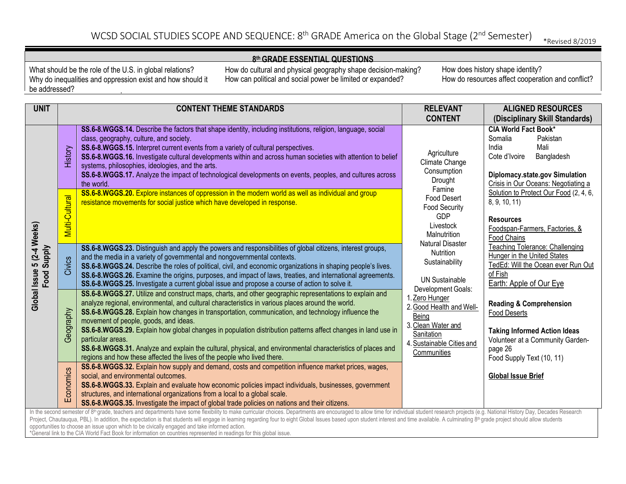#### **8th GRADE ESSENTIAL QUESTIONS**

What should be the role of the U.S. in global relations? Why do inequalities and oppression exist and how should it be addressed?

How do cultural and physical geography shape decision-making? How can political and social power be limited or expanded?

| <b>UNIT</b>                                                                                                                                                                                                                                                                                                                                                                                                                                                                                                                                                                                                                                                                                                   |                | <b>CONTENT THEME STANDARDS</b>                                                                                                                                                                                                                                                                                                                                                                                                                                                                                                                                                                                                                                                             | <b>RELEVANT</b>                                                                                                                                                                                                                                     | <b>ALIGNED RESOURCES</b>                                                                                                                                                     |
|---------------------------------------------------------------------------------------------------------------------------------------------------------------------------------------------------------------------------------------------------------------------------------------------------------------------------------------------------------------------------------------------------------------------------------------------------------------------------------------------------------------------------------------------------------------------------------------------------------------------------------------------------------------------------------------------------------------|----------------|--------------------------------------------------------------------------------------------------------------------------------------------------------------------------------------------------------------------------------------------------------------------------------------------------------------------------------------------------------------------------------------------------------------------------------------------------------------------------------------------------------------------------------------------------------------------------------------------------------------------------------------------------------------------------------------------|-----------------------------------------------------------------------------------------------------------------------------------------------------------------------------------------------------------------------------------------------------|------------------------------------------------------------------------------------------------------------------------------------------------------------------------------|
|                                                                                                                                                                                                                                                                                                                                                                                                                                                                                                                                                                                                                                                                                                               |                |                                                                                                                                                                                                                                                                                                                                                                                                                                                                                                                                                                                                                                                                                            | <b>CONTENT</b>                                                                                                                                                                                                                                      | (Disciplinary Skill Standards)                                                                                                                                               |
|                                                                                                                                                                                                                                                                                                                                                                                                                                                                                                                                                                                                                                                                                                               | History        | SS.6-8.WGGS.14. Describe the factors that shape identity, including institutions, religion, language, social<br>class, geography, culture, and society.<br>SS.6-8.WGGS.15. Interpret current events from a variety of cultural perspectives.<br>SS.6-8.WGGS.16. Investigate cultural developments within and across human societies with attention to belief<br>systems, philosophies, ideologies, and the arts.<br>SS.6-8.WGGS.17. Analyze the impact of technological developments on events, peoples, and cultures across<br>the world.                                                                                                                                                 | Agriculture<br>Climate Change<br>Consumption<br>Drought                                                                                                                                                                                             | <b>CIA World Fact Book*</b><br>Somalia<br>Pakistan<br>Mali<br>India<br>Cote d'Ivoire<br>Bangladesh<br>Diplomacy.state.gov Simulation<br>Crisis in Our Oceans: Negotiating a  |
|                                                                                                                                                                                                                                                                                                                                                                                                                                                                                                                                                                                                                                                                                                               | Multi-Cultural | SS.6-8.WGGS.20. Explore instances of oppression in the modern world as well as individual and group<br>resistance movements for social justice which have developed in response.                                                                                                                                                                                                                                                                                                                                                                                                                                                                                                           | Famine<br>Food Desert<br><b>Food Security</b><br><b>GDP</b><br>Livestock<br>Malnutrition                                                                                                                                                            | Solution to Protect Our Food (2, 4, 6,<br>8, 9, 10, 11)<br><b>Resources</b><br>Foodspan-Farmers, Factories, &<br>Food Chains                                                 |
| Global Issue 5 (2-4 Weeks)<br>Food Supply                                                                                                                                                                                                                                                                                                                                                                                                                                                                                                                                                                                                                                                                     | Civics         | SS.6-8.WGGS.23. Distinguish and apply the powers and responsibilities of global citizens, interest groups,<br>and the media in a variety of governmental and nongovernmental contexts.<br>SS.6-8.WGGS.24. Describe the roles of political, civil, and economic organizations in shaping people's lives.<br>SS.6-8.WGGS.26. Examine the origins, purposes, and impact of laws, treaties, and international agreements.<br>SS.6-8.WGGS.25. Investigate a current global issue and propose a course of action to solve it.                                                                                                                                                                    | <b>Natural Disaster</b><br><b>Nutrition</b><br>Sustainability<br><b>UN Sustainable</b><br>Development Goals:<br>1. Zero Hunger<br>2. Good Health and Well-<br>Being<br>3. Clean Water and<br>Sanitation<br>4. Sustainable Cities and<br>Communities | Teaching Tolerance: Challenging<br>Hunger in the United States<br>TedEd: Will the Ocean ever Run Out<br>of Fish<br>Earth: Apple of Our Eye                                   |
|                                                                                                                                                                                                                                                                                                                                                                                                                                                                                                                                                                                                                                                                                                               | Geography      | SS.6-8.WGGS.27. Utilize and construct maps, charts, and other geographic representations to explain and<br>analyze regional, environmental, and cultural characteristics in various places around the world.<br>SS.6-8.WGGS.28. Explain how changes in transportation, communication, and technology influence the<br>movement of people, goods, and ideas.<br>SS.6-8.WGGS.29. Explain how global changes in population distribution patterns affect changes in land use in<br>particular areas.<br>SS.6-8.WGGS.31. Analyze and explain the cultural, physical, and environmental characteristics of places and<br>regions and how these affected the lives of the people who lived there. |                                                                                                                                                                                                                                                     | <b>Reading &amp; Comprehension</b><br><b>Food Deserts</b><br><b>Taking Informed Action Ideas</b><br>Volunteer at a Community Garden-<br>page 26<br>Food Supply Text (10, 11) |
|                                                                                                                                                                                                                                                                                                                                                                                                                                                                                                                                                                                                                                                                                                               | Economics      | SS.6-8.WGGS.32. Explain how supply and demand, costs and competition influence market prices, wages,<br>social, and environmental outcomes.<br>SS.6-8.WGGS.33. Explain and evaluate how economic policies impact individuals, businesses, government<br>structures, and international organizations from a local to a global scale.<br>SS.6-8.WGGS.35. Investigate the impact of global trade policies on nations and their citizens.                                                                                                                                                                                                                                                      |                                                                                                                                                                                                                                                     | <b>Global Issue Brief</b>                                                                                                                                                    |
| In the second semester of 8 <sup>th</sup> grade, teachers and departments have some flexibility to make curricular choices. Departments are encouraged to allow time for individual student research projects (e.g. National History Day<br>Project, Chautauqua, PBL). In addition, the expectation is that students will engage in learning regarding four to eight Global Issues based upon student interest and time available. A culminating 8 <sup>th</sup> grade project shoul<br>opportunities to choose an issue upon which to be civically engaged and take informed action.<br>*General link to the CIA World Fact Book for information on countries represented in readings for this global issue. |                |                                                                                                                                                                                                                                                                                                                                                                                                                                                                                                                                                                                                                                                                                            |                                                                                                                                                                                                                                                     |                                                                                                                                                                              |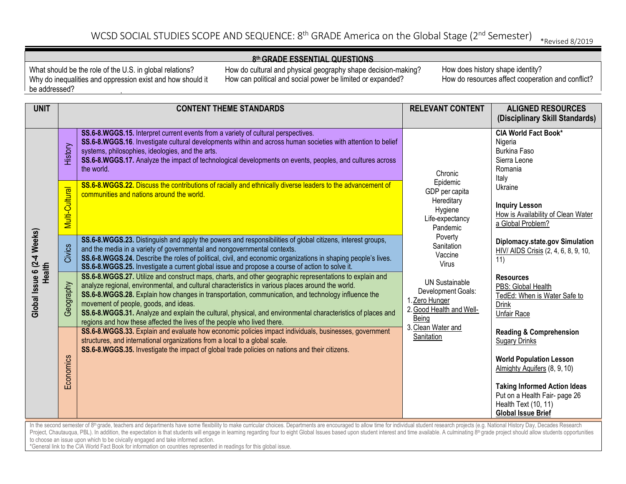#### **8th GRADE ESSENTIAL QUESTIONS**

What should be the role of the U.S. in global relations? Why do inequalities and oppression exist and how should it be addressed?

How do cultural and physical geography shape decision-making? How can political and social power be limited or expanded?

| <b>UNIT</b>                                                                                                                                                                                                                                                                                                                                                                                                                                                                                                                                                                                                                                                                                                                  |                       | <b>CONTENT THEME STANDARDS</b>                                                                                                                                                                                                                                                                                                                                                                                                                                                                                                                        | <b>RELEVANT CONTENT</b>                                                                                                                                                                                                                                                   | <b>ALIGNED RESOURCES</b><br>(Disciplinary Skill Standards)                                                                                                                                                                   |  |
|------------------------------------------------------------------------------------------------------------------------------------------------------------------------------------------------------------------------------------------------------------------------------------------------------------------------------------------------------------------------------------------------------------------------------------------------------------------------------------------------------------------------------------------------------------------------------------------------------------------------------------------------------------------------------------------------------------------------------|-----------------------|-------------------------------------------------------------------------------------------------------------------------------------------------------------------------------------------------------------------------------------------------------------------------------------------------------------------------------------------------------------------------------------------------------------------------------------------------------------------------------------------------------------------------------------------------------|---------------------------------------------------------------------------------------------------------------------------------------------------------------------------------------------------------------------------------------------------------------------------|------------------------------------------------------------------------------------------------------------------------------------------------------------------------------------------------------------------------------|--|
|                                                                                                                                                                                                                                                                                                                                                                                                                                                                                                                                                                                                                                                                                                                              | History               | SS.6-8.WGGS.15. Interpret current events from a variety of cultural perspectives.<br>SS.6-8.WGGS.16. Investigate cultural developments within and across human societies with attention to belief<br>systems, philosophies, ideologies, and the arts.<br>SS.6-8.WGGS.17. Analyze the impact of technological developments on events, peoples, and cultures across<br>the world.                                                                                                                                                                       | Chronic                                                                                                                                                                                                                                                                   | <b>CIA World Fact Book*</b><br>Nigeria<br><b>Burkina Faso</b><br>Sierra Leone<br>Romania<br>Italy                                                                                                                            |  |
| Global Issue 6 (2-4 Weeks)<br>Health                                                                                                                                                                                                                                                                                                                                                                                                                                                                                                                                                                                                                                                                                         | <b>Multi-Cultural</b> | SS.6-8.WGGS.22. Discuss the contributions of racially and ethnically diverse leaders to the advancement of<br>communities and nations around the world.                                                                                                                                                                                                                                                                                                                                                                                               | Epidemic<br>GDP per capita<br>Hereditary<br>Hygiene<br>Life-expectancy<br>Pandemic<br>Poverty<br>Sanitation<br>Vaccine<br>Virus<br><b>UN Sustainable</b><br>Development Goals:<br>1. Zero Hunger<br>2. Good Health and Well-<br>Being<br>3. Clean Water and<br>Sanitation | Ukraine<br><b>Inquiry Lesson</b><br>How is Availability of Clean Water<br>a Global Problem?                                                                                                                                  |  |
|                                                                                                                                                                                                                                                                                                                                                                                                                                                                                                                                                                                                                                                                                                                              | Civics                | SS.6-8.WGGS.23. Distinguish and apply the powers and responsibilities of global citizens, interest groups,<br>and the media in a variety of governmental and nongovernmental contexts.<br>SS.6-8.WGGS.24. Describe the roles of political, civil, and economic organizations in shaping people's lives.<br>SS.6-8.WGGS.25. Investigate a current global issue and propose a course of action to solve it.                                                                                                                                             |                                                                                                                                                                                                                                                                           | Diplomacy.state.gov Simulation<br>HIV/ AIDS Crisis (2, 4, 6, 8, 9, 10,<br>11)                                                                                                                                                |  |
|                                                                                                                                                                                                                                                                                                                                                                                                                                                                                                                                                                                                                                                                                                                              | Geography             | SS.6-8.WGGS.27. Utilize and construct maps, charts, and other geographic representations to explain and<br>analyze regional, environmental, and cultural characteristics in various places around the world.<br>SS.6-8.WGGS.28. Explain how changes in transportation, communication, and technology influence the<br>movement of people, goods, and ideas.<br>SS.6-8.WGGS.31. Analyze and explain the cultural, physical, and environmental characteristics of places and<br>regions and how these affected the lives of the people who lived there. |                                                                                                                                                                                                                                                                           | <b>Resources</b><br>PBS: Global Health<br>TedEd: When is Water Safe to<br><b>Drink</b><br><b>Unfair Race</b>                                                                                                                 |  |
|                                                                                                                                                                                                                                                                                                                                                                                                                                                                                                                                                                                                                                                                                                                              | Economics             | SS.6-8.WGGS.33. Explain and evaluate how economic policies impact individuals, businesses, government<br>structures, and international organizations from a local to a global scale.<br>SS.6-8.WGGS.35. Investigate the impact of global trade policies on nations and their citizens.                                                                                                                                                                                                                                                                |                                                                                                                                                                                                                                                                           | <b>Reading &amp; Comprehension</b><br><b>Sugary Drinks</b><br><b>World Population Lesson</b><br>Almighty Aquifers (8, 9, 10)<br><b>Taking Informed Action Ideas</b><br>Put on a Health Fair- page 26<br>Health Text (10, 11) |  |
| <b>Global Issue Brief</b><br>In the second semester of 8 <sup>th</sup> grade, teachers and departments have some flexibility to make curricular choices. Departments are encouraged to allow time for individual student research projects (e.g. National History Day<br>Project, Chautauqua, PBL). In addition, the expectation is that students will engage in learning regarding four to eight Global Issues based upon student interest and time available. A culminating 8 <sup>th</sup> grade project shoul<br>to choose an issue upon which to be civically engaged and take informed action.<br>*General link to the CIA World Fact Book for information on countries represented in readings for this global issue. |                       |                                                                                                                                                                                                                                                                                                                                                                                                                                                                                                                                                       |                                                                                                                                                                                                                                                                           |                                                                                                                                                                                                                              |  |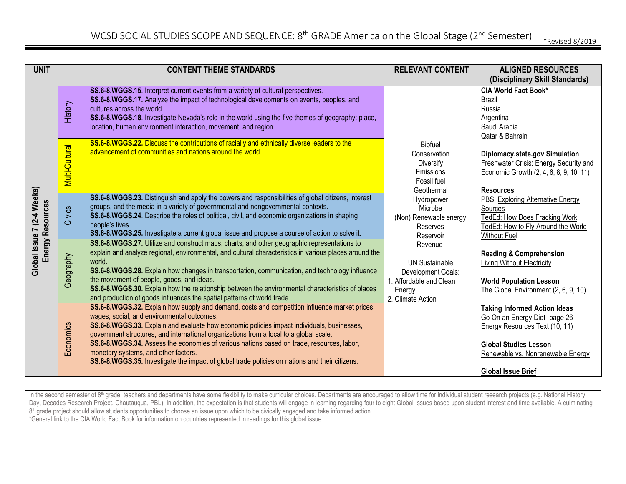| <b>UNIT</b>                                    | <b>CONTENT THEME STANDARDS</b> |                                                                                                                                                                                                                                                                                                                                                                                                                                                                                                                                                                            | <b>RELEVANT CONTENT</b>                                                                                          | <b>ALIGNED RESOURCES</b><br>(Disciplinary Skill Standards)                                                                                                                                               |
|------------------------------------------------|--------------------------------|----------------------------------------------------------------------------------------------------------------------------------------------------------------------------------------------------------------------------------------------------------------------------------------------------------------------------------------------------------------------------------------------------------------------------------------------------------------------------------------------------------------------------------------------------------------------------|------------------------------------------------------------------------------------------------------------------|----------------------------------------------------------------------------------------------------------------------------------------------------------------------------------------------------------|
|                                                | History                        | SS.6-8.WGGS.15. Interpret current events from a variety of cultural perspectives.<br>SS.6-8.WGGS.17. Analyze the impact of technological developments on events, peoples, and<br>cultures across the world.<br>SS.6-8.WGGS.18. Investigate Nevada's role in the world using the five themes of geography: place,<br>location, human environment interaction, movement, and region.                                                                                                                                                                                         |                                                                                                                  | <b>CIA World Fact Book*</b><br><b>Brazil</b><br>Russia<br>Argentina<br>Saudi Arabia<br>Qatar & Bahrain                                                                                                   |
|                                                | Multi-Cultural                 | SS.6-8.WGGS.22. Discuss the contributions of racially and ethnically diverse leaders to the<br>advancement of communities and nations around the world.                                                                                                                                                                                                                                                                                                                                                                                                                    | <b>Biofuel</b><br>Conservation<br>Diversify<br>Emissions<br>Fossil fuel<br>Geothermal                            | Diplomacy.state.gov Simulation<br><b>Freshwater Crisis: Energy Security and</b><br>Economic Growth (2, 4, 6, 8, 9, 10, 11)<br><b>Resources</b>                                                           |
| Global Issue 7 (2-4 Weeks)<br>Energy Resources | Civics                         | SS.6-8.WGGS.23. Distinguish and apply the powers and responsibilities of global citizens, interest<br>groups, and the media in a variety of governmental and nongovernmental contexts.<br>SS.6-8.WGGS.24. Describe the roles of political, civil, and economic organizations in shaping<br>people's lives<br>SS.6-8.WGGS.25. Investigate a current global issue and propose a course of action to solve it.                                                                                                                                                                | Hydropower<br>Microbe<br>(Non) Renewable energy<br>Reserves<br>Reservoir                                         | PBS: Exploring Alternative Energy<br>Sources<br>TedEd: How Does Fracking Work<br>TedEd: How to Fly Around the World<br><b>Without Fuel</b>                                                               |
|                                                | Geography                      | SS.6-8.WGGS.27. Utilize and construct maps, charts, and other geographic representations to<br>explain and analyze regional, environmental, and cultural characteristics in various places around the<br>world.<br>SS.6-8.WGGS.28. Explain how changes in transportation, communication, and technology influence<br>the movement of people, goods, and ideas.<br>SS.6-8.WGGS.30. Explain how the relationship between the environmental characteristics of places<br>and production of goods influences the spatial patterns of world trade.                              | Revenue<br><b>UN Sustainable</b><br>Development Goals:<br>1. Affordable and Clean<br>Energy<br>2. Climate Action | <b>Reading &amp; Comprehension</b><br>Living Without Electricity<br><b>World Population Lesson</b><br>The Global Environment (2, 6, 9, 10)                                                               |
|                                                | Economics                      | SS.6-8.WGGS.32. Explain how supply and demand, costs and competition influence market prices,<br>wages, social, and environmental outcomes.<br>SS.6-8.WGGS.33. Explain and evaluate how economic policies impact individuals, businesses,<br>government structures, and international organizations from a local to a global scale.<br>SS.6-8.WGGS.34. Assess the economies of various nations based on trade, resources, labor,<br>monetary systems, and other factors.<br>SS.6-8.WGGS.35. Investigate the impact of global trade policies on nations and their citizens. |                                                                                                                  | <b>Taking Informed Action Ideas</b><br>Go On an Energy Diet- page 26<br>Energy Resources Text (10, 11)<br><b>Global Studies Lesson</b><br>Renewable vs. Nonrenewable Energy<br><b>Global Issue Brief</b> |

In the second semester of 8<sup>th</sup> grade, teachers and departments have some flexibility to make curricular choices. Departments are encouraged to allow time for individual student research projects (e.g. National History Day, Decades Research Project, Chautauqua, PBL). In addition, the expectation is that students will engage in learning regarding four to eight Global Issues based upon student interest and time available. A culminating int 8<sup>th</sup> grade project should allow students opportunities to choose an issue upon which to be civically engaged and take informed action. \*General link to the CIA World Fact Book for information on countries represented in readings for this global issue.